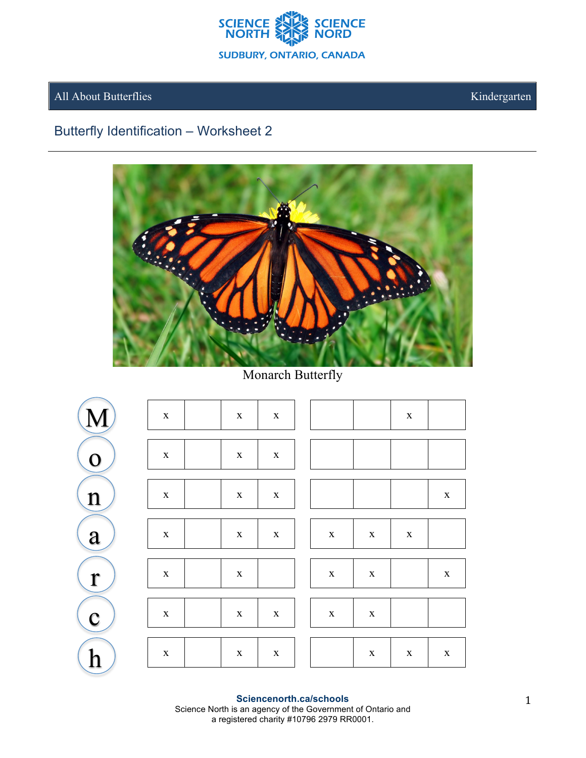

## All About Butterflies

Kindergarten

## Butterfly Identification - Worksheet 2



Monarch Butterfly



Sciencenorth.ca/schools Science North is an agency of the Government of Ontario and a registered charity #10796 2979 RR0001.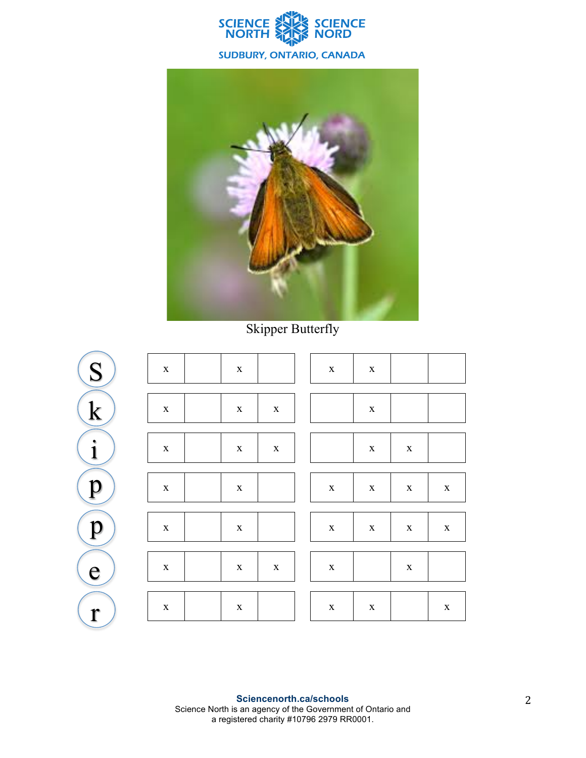



Skipper Butterfly

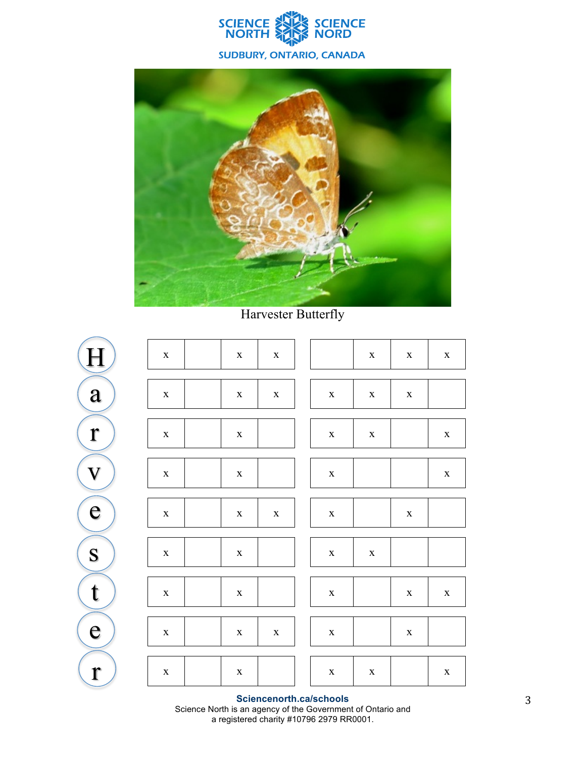



**Harvester Butterfly** 



Sciencenorth.ca/schools Science North is an agency of the Government of Ontario and<br>a registered charity #10796 2979 RR0001.